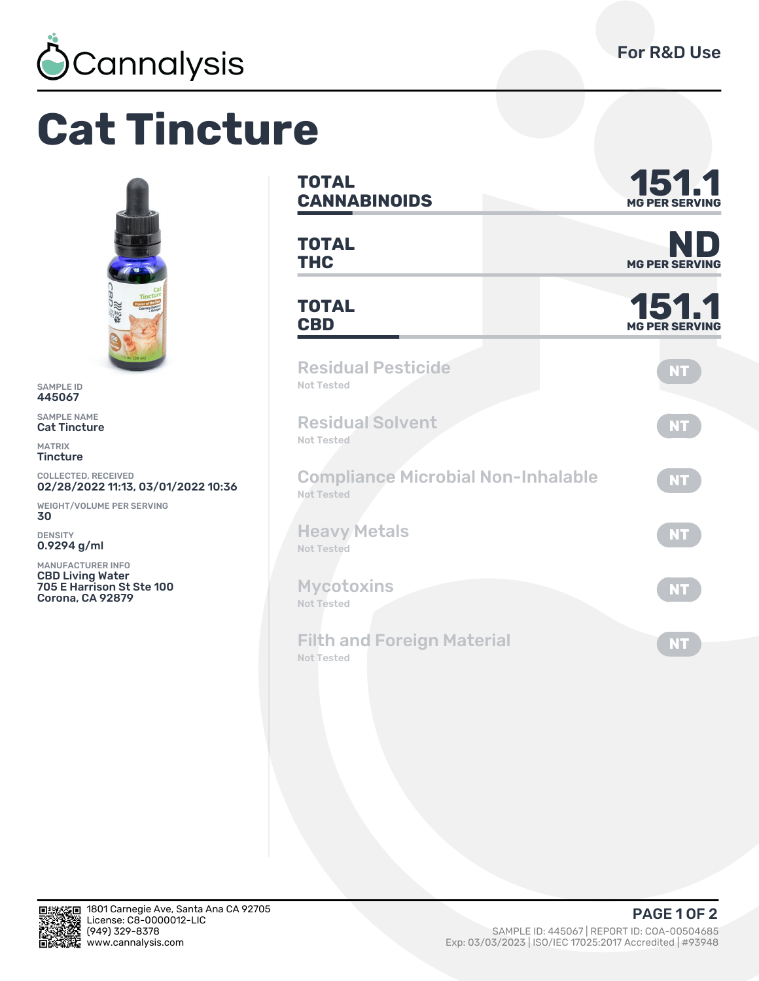

# **Cat Tincture**



SAMPLE ID 445067

SAMPLE NAME Cat Tincture

MATRIX **Tincture** 

COLLECTED, RECEIVED<br>**02/28/2022 11:13, 03/01/2022 10:36** 

WEIGHT/VOLUME PER SERVING ǿǼ

DENSITY 0.9294 g/ml

MANUFACTURER INFO CBD Living Water 705 E Harrison St Ste 100 Corona, CA 92879

| <b>TOTAL</b><br><b>CANNABINOIDS</b>                            | 151.1<br><b>MG PER SERVING</b> |  |  |  |
|----------------------------------------------------------------|--------------------------------|--|--|--|
| <b>TOTAL</b><br><b>THC</b>                                     | NI<br><b>MG PER SERVING</b>    |  |  |  |
| <b>TOTAL</b><br><b>CBD</b>                                     | 151.1                          |  |  |  |
| <b>Residual Pesticide</b><br>Not Tested                        | <b>NT</b>                      |  |  |  |
| <b>Residual Solvent</b><br>Not Tested                          | <b>NT</b>                      |  |  |  |
| <b>Compliance Microbial Non-Inhalable</b><br><b>Not Tested</b> | NT.                            |  |  |  |
| <b>Heavy Metals</b><br><b>Not Tested</b>                       | <b>NT</b>                      |  |  |  |
| <b>Mycotoxins</b><br><b>Not Tested</b>                         | <b>NT</b>                      |  |  |  |
| <b>Filth and Foreign Material</b><br><b>Not Tested</b>         | <b>NT</b>                      |  |  |  |